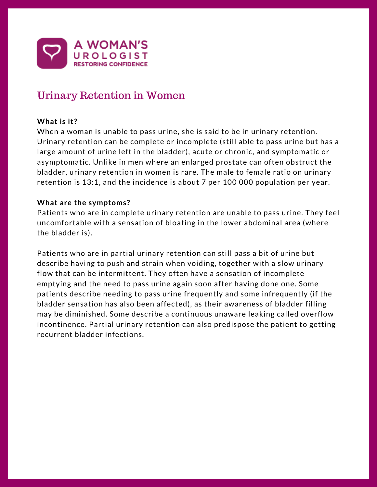

# Urinary Retention in Women

## **What is it?**

When a woman is unable to pass urine, she is said to be in urinary retention. Urinary retention can be complete or incomplete (still able to pass urine but has a large amount of urine left in the bladder), acute or chronic, and symptomatic or asymptomatic. Unlike in men where an enlarged prostate can often obstruct the bladder, urinary retention in women is rare. The male to female ratio on urinary retention is 13:1, and the incidence is about 7 per 100 000 population per year.

### **What are the symptoms?**

Patients who are in complete urinary retention are unable to pass urine. They feel uncomfortable with a sensation of bloating in the lower abdominal area (where the bladder is).

Patients who are in partial urinary retention can still pass a bit of urine but describe having to push and strain when voiding, together with a slow urinary flow that can be intermittent. They often have a sensation of incomplete emptying and the need to pass urine again soon after having done one. Some patients describe needing to pass urine frequently and some infrequently (if the bladder sensation has also been affected), as their awareness of bladder filling may be diminished. Some describe a continuous unaware leaking called overflow incontinence. Partial urinary retention can also predispose the patient to getting recurrent bladder infections.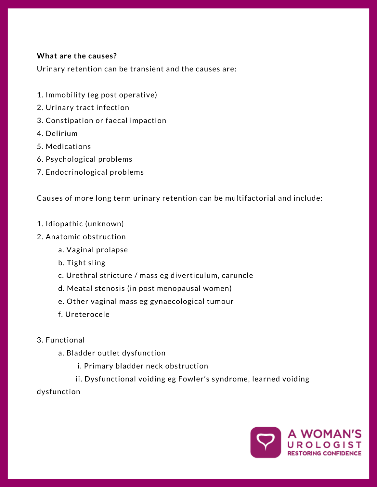## **What are the causes?**

Urinary retention can be transient and the causes are:

- 1. Immobility (eg post operative)
- 2. Urinary tract infection
- 3. Constipation or faecal impaction
- 4. Delirium
- 5. Medications
- 6. Psychological problems
- 7. Endocrinological problems

Causes of more long term urinary retention can be multifactorial and include:

- 1. Idiopathic (unknown)
- 2. Anatomic obstruction
	- a. Vaginal prolapse
	- b. Tight sling
	- c. Urethral stricture / mass eg diverticulum, caruncle
	- d. Meatal stenosis (in post menopausal women)
	- e. Other vaginal mass eg gynaecological tumour
	- f. Ureterocele
- 3. Functional
	- a. Bladder outlet dysfunction
		- i. Primary bladder neck obstruction
		- ii. Dysfunctional voiding eg Fowler's syndrome, learned voiding
- dysfunction

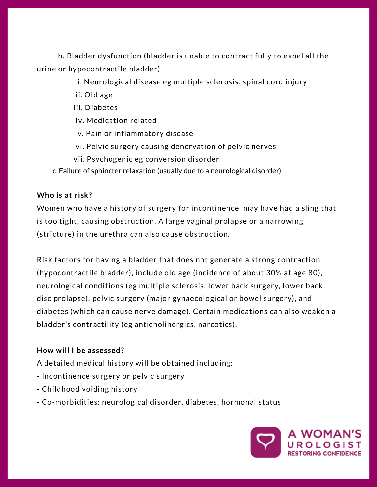b. Bladder dysfunction (bladder is unable to contract fully to expel all the urine or hypocontractile bladder)

- i. Neurological disease eg multiple sclerosis, spinal cord injury
- ii. Old age
- iii. Diabetes
- iv. Medication related
- v. Pain or inflammatory disease
- vi. Pelvic surgery causing denervation of pelvic nerves
- vii. Psychogenic eg conversion disorder
- c. Failure of sphincter relaxation (usually due to a neurological disorder)

## **Who is at risk?**

Women who have a history of surgery for incontinence, may have had a sling that is too tight, causing obstruction. A large vaginal prolapse or a narrowing (stricture) in the urethra can also cause obstruction.

Risk factors for having a bladder that does not generate a strong contraction (hypocontractile bladder), include old age (incidence of about 30% at age 80), neurological conditions (eg multiple sclerosis, lower back surgery, lower back disc prolapse), pelvic surgery (major gynaecological or bowel surgery), and diabetes (which can cause nerve damage). Certain medications can also weaken a bladder's contractility (eg anticholinergics, narcotics).

## **How will I be assessed?**

A detailed medical history will be obtained including:

- Incontinence surgery or pelvic surgery
- Childhood voiding history
- Co-morbidities: neurological disorder, diabetes, hormonal status

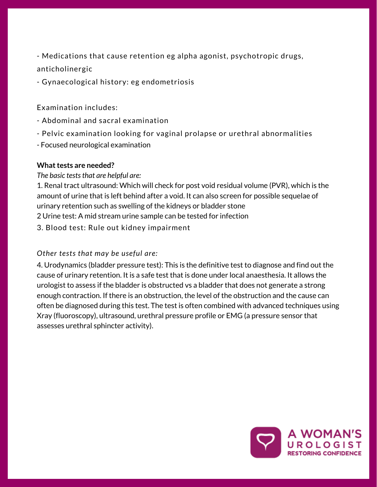- Medications that cause retention eg alpha agonist, psychotropic drugs, anticholinergic

- [Gynaecological](https://www.safetyandquality.gov.au/our-work/transvaginal-mesh/resources/) history: eg endometriosis

Examination includes:

- Abdominal and sacral examination
- Pelvic examination looking for vaginal prolapse or urethral abnormalities
- Focused neurological examination

#### **What tests are needed?**

#### *The basic tests that are helpful are:*

1. Renal tract ultrasound: Which will check for post void residual volume (PVR), which is the amount of urine that is left behind after a void. It can also screen for possible sequelae of urinary retention such as swelling of the kidneys or bladder stone 2 Urine test: A mid stream urine sample can be tested for infection

3. Blood test: Rule out kidney impairment

## *Other tests that may be useful are:*

4. Urodynamics (bladder pressure test): This is the definitive test to diagnose and find out the cause of urinary retention. It is a safe test that is done under local anaesthesia. It allows the urologist to assess if the bladder is obstructed vs a bladder that does not generate a strong enough contraction. If there is an obstruction, the level of the obstruction and the cause can often be diagnosed during this test. The test is often combined with advanced techniques using Xray (fluoroscopy), ultrasound, urethral pressure profile or EMG (a pressure sensor that assesses urethral sphincter activity).

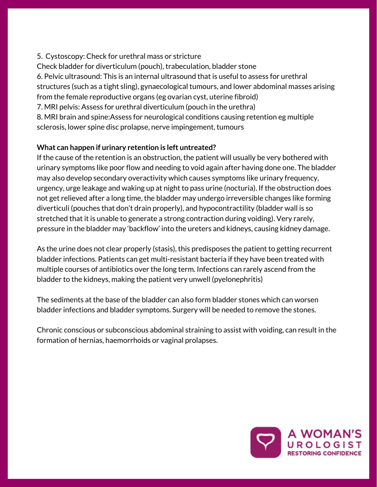5. Cystoscopy: Check for urethral mass or stricture

Check bladder for diverticulum (pouch), trabeculation, bladder stone

6. Pelvic ultrasound: This is an internal ultrasound that is useful to assess for urethral structures (such as a tight sling), gynaecological tumours, and lower abdominal masses arising from the female reproductive organs (eg ovarian cyst, uterine fibroid)

7. MRI pelvis: Assess for urethral diverticulum (pouch in the urethra)

8. MRI brain and spine:Assess for neurological conditions causing retention eg multiple sclerosis, lower spine disc prolapse, nerve impingement, tumours

# **What can happen if urinary retention is left untreated?**

If the cause of the retention is an obstruction, the patient will usually be very bothered with urinary symptoms like poor flow and needing to void again after having done one. The bladder may also develop secondary overactivity which causes symptoms like urinary frequency, urgency, urge leakage and waking up at night to pass urine (nocturia). If the obstruction does not get relieved after a long time, the bladder may undergo irreversible changes like forming diverticuli (pouches that don't drain properly), and [hypocontractility](https://www.safetyandquality.gov.au/our-work/transvaginal-mesh/resources/) (bladder wall is so stretched that it is unable to generate a strong contraction during voiding). Very rarely, pressure in the bladder may 'backflow' into the ureters and kidneys, causing kidney damage.

As the urine does not clear properly (stasis), this predisposes the patient to getting recurrent bladder infections. Patients can get multi-resistant bacteria if they have been treated with multiple courses of antibiotics over the long term. Infections can rarely ascend from the bladder to the kidneys, making the patient very unwell (pyelonephritis)

The sediments at the base of the bladder can also form bladder stones which can worsen bladder infections and bladder symptoms. Surgery will be needed to remove the stones.

Chronic conscious or subconscious abdominal straining to assist with voiding, can result in the formation of hernias, haemorrhoids or vaginal prolapses.

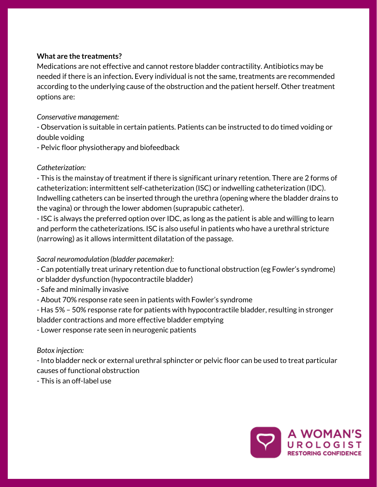## **What are the treatments?**

Medications are not effective and cannot restore bladder contractility. Antibiotics may be needed if there is an infection**.** Every individual is not the same, treatments are recommended according to the underlying cause of the obstruction and the patient herself. Other treatment options are:

#### *Conservative management:*

- Observation is suitable in certain patients. Patients can be instructed to do timed voiding or double voiding

- Pelvic floor physiotherapy and biofeedback

### *Catheterization:*

- This is the mainstay of treatment if there is significant urinary retention. There are 2 forms of catheterization: intermittent [self-catheterization](https://www.safetyandquality.gov.au/our-work/transvaginal-mesh/resources/) (ISC) or indwelling catheterization (IDC). Indwelling catheters can be inserted through the urethra (opening where the bladder drains to the vagina) or through the lower abdomen (suprapubic catheter).

- ISC is always the preferred option over IDC, as long as the patient is able and willing to learn and perform the catheterizations. ISC is also useful in patients who have a urethral stricture (narrowing) as it allows intermittent dilatation of the passage.

#### *Sacral neuromodulation (bladder pacemaker):*

- Can potentially treat urinary retention due to functional obstruction (eg Fowler's syndrome) or bladder dysfunction (hypocontractile bladder)

- Safe and minimally invasive
- About 70% response rate seen in patients with Fowler's syndrome

- Has 5% – 50% response rate for patients with hypocontractile bladder, resulting in stronger bladder contractions and more effective bladder emptying

- Lower response rate seen in neurogenic patients

## *Botox injection:*

- Into bladder neck or external urethral sphincter or pelvic floor can be used to treat particular causes of functional obstruction

- This is an off-label use